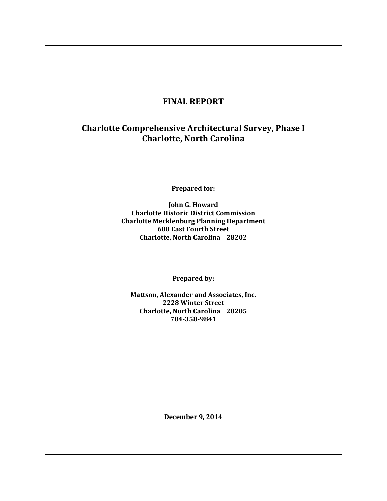## **FINAL REPORT**

# **Charlotte Comprehensive Architectural Survey, Phase I Charlotte, North Carolina**

**Prepared for:**

**John G. Howard Charlotte Historic District Commission Charlotte Mecklenburg Planning Department 600 East Fourth Street Charlotte, North Carolina 28202**

**Prepared by:**

**Mattson, Alexander and Associates, Inc. 2228 Winter Street Charlotte, North Carolina 28205 704-358-9841**

**December 9, 2014**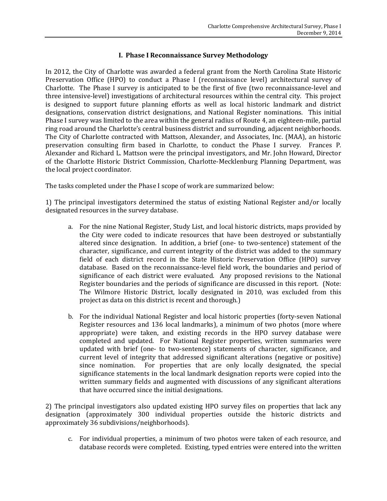## **I. Phase I Reconnaissance Survey Methodology**

In 2012, the City of Charlotte was awarded a federal grant from the North Carolina State Historic Preservation Office (HPO) to conduct a Phase I (reconnaissance level) architectural survey of Charlotte. The Phase I survey is anticipated to be the first of five (two reconnaissance-level and three intensive-level) investigations of architectural resources within the central city. This project is designed to support future planning efforts as well as local historic landmark and district designations, conservation district designations, and National Register nominations. This initial Phase I survey was limited to the area within the general radius of Route 4, an eighteen-mile, partial ring road around the Charlotte's central business district and surrounding, adjacent neighborhoods. The City of Charlotte contracted with Mattson, Alexander, and Associates, Inc. (MAA), an historic preservation consulting firm based in Charlotte, to conduct the Phase I survey. Frances P. Alexander and Richard L. Mattson were the principal investigators, and Mr. John Howard, Director of the Charlotte Historic District Commission, Charlotte-Mecklenburg Planning Department, was the local project coordinator.

The tasks completed under the Phase I scope of work are summarized below:

1) The principal investigators determined the status of existing National Register and/or locally designated resources in the survey database.

- a. For the nine National Register, Study List, and local historic districts, maps provided by the City were coded to indicate resources that have been destroyed or substantially altered since designation. In addition, a brief (one- to two-sentence) statement of the character, significance, and current integrity of the district was added to the summary field of each district record in the State Historic Preservation Office (HPO) survey database. Based on the reconnaissance-level field work, the boundaries and period of significance of each district were evaluated. Any proposed revisions to the National Register boundaries and the periods of significance are discussed in this report. (Note: The Wilmore Historic District, locally designated in 2010, was excluded from this project as data on this district is recent and thorough.)
- b. For the individual National Register and local historic properties (forty-seven National Register resources and 136 local landmarks), a minimum of two photos (more where appropriate) were taken, and existing records in the HPO survey database were completed and updated. For National Register properties, written summaries were updated with brief (one- to two-sentence) statements of character, significance, and current level of integrity that addressed significant alterations (negative or positive) since nomination. For properties that are only locally designated, the special significance statements in the local landmark designation reports were copied into the written summary fields and augmented with discussions of any significant alterations that have occurred since the initial designations.

2) The principal investigators also updated existing HPO survey files on properties that lack any designation (approximately 300 individual properties outside the historic districts and approximately 36 subdivisions/neighborhoods).

c. For individual properties, a minimum of two photos were taken of each resource, and database records were completed. Existing, typed entries were entered into the written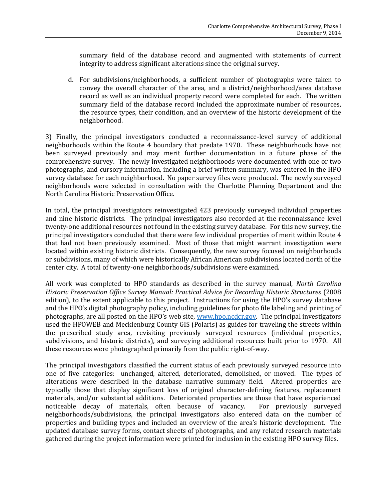summary field of the database record and augmented with statements of current integrity to address significant alterations since the original survey.

d. For subdivisions/neighborhoods, a sufficient number of photographs were taken to convey the overall character of the area, and a district/neighborhood/area database record as well as an individual property record were completed for each. The written summary field of the database record included the approximate number of resources, the resource types, their condition, and an overview of the historic development of the neighborhood.

3) Finally, the principal investigators conducted a reconnaissance-level survey of additional neighborhoods within the Route 4 boundary that predate 1970. These neighborhoods have not been surveyed previously and may merit further documentation in a future phase of the comprehensive survey. The newly investigated neighborhoods were documented with one or two photographs, and cursory information, including a brief written summary, was entered in the HPO survey database for each neighborhood. No paper survey files were produced. The newly surveyed neighborhoods were selected in consultation with the Charlotte Planning Department and the North Carolina Historic Preservation Office.

In total, the principal investigators reinvestigated 423 previously surveyed individual properties and nine historic districts. The principal investigators also recorded at the reconnaissance level twenty-one additional resources not found in the existing survey database. For this new survey, the principal investigators concluded that there were few individual properties of merit within Route 4 that had not been previously examined. Most of those that might warrant investigation were located within existing historic districts. Consequently, the new survey focused on neighborhoods or subdivisions, many of which were historically African American subdivisions located north of the center city. A total of twenty-one neighborhoods/subdivisions were examined.

All work was completed to HPO standards as described in the survey manual, *North Carolina Historic Preservation Office Survey Manual: Practical Advice for Recording Historic Structures* (2008 edition), to the extent applicable to this project. Instructions for using the HPO's survey database and the HPO's digital photography policy, including guidelines for photo file labeling and printing of photographs, are all posted on the HPO's web site, [www.hpo.ncdcr.gov.](http://www.hpo.ncdcr.gov/) The principal investigators used the HPOWEB and Mecklenburg County GIS (Polaris) as guides for traveling the streets within the prescribed study area, revisiting previously surveyed resources (individual properties, subdivisions, and historic districts), and surveying additional resources built prior to 1970. All these resources were photographed primarily from the public right-of-way.

The principal investigators classified the current status of each previously surveyed resource into one of five categories: unchanged, altered, deteriorated, demolished, or moved. The types of alterations were described in the database narrative summary field. Altered properties are typically those that display significant loss of original character-defining features, replacement materials, and/or substantial additions. Deteriorated properties are those that have experienced noticeable decay of materials, often because of vacancy. For previously surveyed neighborhoods/subdivisions, the principal investigators also entered data on the number of properties and building types and included an overview of the area's historic development. The updated database survey forms, contact sheets of photographs, and any related research materials gathered during the project information were printed for inclusion in the existing HPO survey files.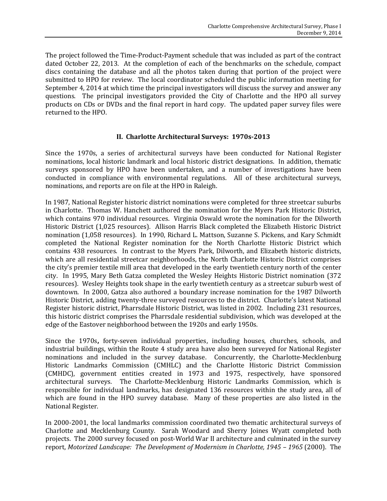The project followed the Time-Product-Payment schedule that was included as part of the contract dated October 22, 2013. At the completion of each of the benchmarks on the schedule, compact discs containing the database and all the photos taken during that portion of the project were submitted to HPO for review. The local coordinator scheduled the public information meeting for September 4, 2014 at which time the principal investigators will discuss the survey and answer any questions. The principal investigators provided the City of Charlotte and the HPO all survey products on CDs or DVDs and the final report in hard copy. The updated paper survey files were returned to the HPO.

## **II. Charlotte Architectural Surveys: 1970s-2013**

Since the 1970s, a series of architectural surveys have been conducted for National Register nominations, local historic landmark and local historic district designations. In addition, thematic surveys sponsored by HPO have been undertaken, and a number of investigations have been conducted in compliance with environmental regulations. All of these architectural surveys, nominations, and reports are on file at the HPO in Raleigh.

In 1987, National Register historic district nominations were completed for three streetcar suburbs in Charlotte. Thomas W. Hanchett authored the nomination for the Myers Park Historic District, which contains 970 individual resources. Virginia Oswald wrote the nomination for the Dilworth Historic District (1,025 resources). Allison Harris Black completed the Elizabeth Historic District nomination (1,058 resources). In 1990, Richard L. Mattson, Suzanne S. Pickens, and Kary Schmidt completed the National Register nomination for the North Charlotte Historic District which contains 438 resources. In contrast to the Myers Park, Dilworth, and Elizabeth historic districts, which are all residential streetcar neighborhoods, the North Charlotte Historic District comprises the city's premier textile mill area that developed in the early twentieth century north of the center city. In 1995, Mary Beth Gatza completed the Wesley Heights Historic District nomination (372 resources). Wesley Heights took shape in the early twentieth century as a streetcar suburb west of downtown. In 2000, Gatza also authored a boundary increase nomination for the 1987 Dilworth Historic District, adding twenty-three surveyed resources to the district. Charlotte's latest National Register historic district, Pharrsdale Historic District, was listed in 2002. Including 231 resources, this historic district comprises the Pharrsdale residential subdivision, which was developed at the edge of the Eastover neighborhood between the 1920s and early 1950s.

Since the 1970s**,** forty-seven individual properties, including houses, churches, schools, and industrial buildings, within the Route 4 study area have also been surveyed for National Register nominations and included in the survey database. Concurrently, the Charlotte-Mecklenburg Historic Landmarks Commission (CMHLC) and the Charlotte Historic District Commission (CMHDC), government entities created in 1973 and 1975, respectively, have sponsored architectural surveys. The Charlotte-Mecklenburg Historic Landmarks Commission, which is responsible for individual landmarks, has designated 136 resources within the study area, all of which are found in the HPO survey database. Many of these properties are also listed in the National Register.

In 2000-2001, the local landmarks commission coordinated two thematic architectural surveys of Charlotte and Mecklenburg County. Sarah Woodard and Sherry Joines Wyatt completed both projects. The 2000 survey focused on post-World War II architecture and culminated in the survey report, *Motorized Landscape: The Development of Modernism in Charlotte, 1945 - 1965 (2000). The*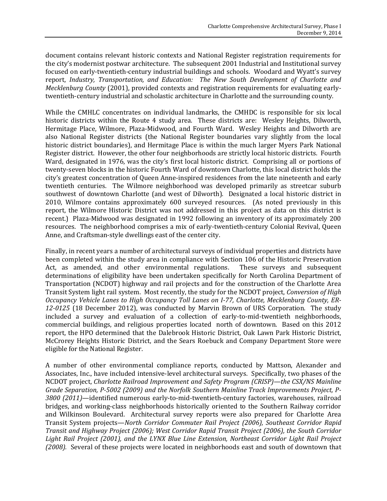document contains relevant historic contexts and National Register registration requirements for the city's modernist postwar architecture. The subsequent 2001 Industrial and Institutional survey focused on early-twentieth-century industrial buildings and schools. Woodard and Wyatt's survey report, *Industry, Transportation, and Education: The New South Development of Charlotte and Mecklenburg County* (2001), provided contexts and registration requirements for evaluating earlytwentieth-century industrial and scholastic architecture in Charlotte and the surrounding county.

While the CMHLC concentrates on individual landmarks, the CMHDC is responsible for six local historic districts within the Route 4 study area. These districts are: Wesley Heights, Dilworth, Hermitage Place, Wilmore, Plaza-Midwood, and Fourth Ward. Wesley Heights and Dilworth are also National Register districts (the National Register boundaries vary slightly from the local historic district boundaries), and Hermitage Place is within the much larger Myers Park National Register district. However, the other four neighborhoods are strictly local historic districts. Fourth Ward, designated in 1976, was the city's first local historic district. Comprising all or portions of twenty-seven blocks in the historic Fourth Ward of downtown Charlotte, this local district holds the city's greatest concentration of Queen Anne-inspired residences from the late nineteenth and early twentieth centuries. The Wilmore neighborhood was developed primarily as streetcar suburb southwest of downtown Charlotte (and west of Dilworth). Designated a local historic district in 2010, Wilmore contains approximately 600 surveyed resources. (As noted previously in this report, the Wilmore Historic District was not addressed in this project as data on this district is recent.) Plaza-Midwood was designated in 1992 following an inventory of its approximately 200 resources. The neighborhood comprises a mix of early-twentieth-century Colonial Revival, Queen Anne, and Craftsman-style dwellings east of the center city.

Finally, in recent years a number of architectural surveys of individual properties and districts have been completed within the study area in compliance with Section 106 of the Historic Preservation Act, as amended, and other environmental regulations. These surveys and subsequent determinations of eligibility have been undertaken specifically for North Carolina Department of Transportation (NCDOT) highway and rail projects and for the construction of the Charlotte Area Transit System light rail system. Most recently, the study for the NCDOT project, *Conversion of High Occupancy Vehicle Lanes to High Occupancy Toll Lanes on I-77, Charlotte, Mecklenburg County, ER-12-0125* (18 December 2012), was conducted by Marvin Brown of URS Corporation. The study included a survey and evaluation of a collection of early-to-mid-twentieth neighborhoods, commercial buildings, and religious properties located north of downtown. Based on this 2012 report, the HPO determined that the Dalebrook Historic District, Oak Lawn Park Historic District, McCrorey Heights Historic District, and the Sears Roebuck and Company Department Store were eligible for the National Register.

A number of other environmental compliance reports, conducted by Mattson, Alexander and Associates, Inc., have included intensive-level architectural surveys. Specifically, two phases of the NCDOT project, *Charlotte Railroad Improvement and Safety Program (CRISP)—the CSX/NS Mainline Grade Separation, P-5002 (2009) and the Norfolk Southern Mainline Track Improvements Project, P-3800 (2011)*—identified numerous early-to-mid-twentieth-century factories, warehouses, railroad bridges, and working-class neighborhoods historically oriented to the Southern Railway corridor and Wilkinson Boulevard. Architectural survey reports were also prepared for Charlotte Area Transit System projects—*North Corridor Commuter Rail Project (2006), Southeast Corridor Rapid Transit and Highway Project (2006); West Corridor Rapid Transit Project (2006), the South Corridor Light Rail Project (2001), and the LYNX Blue Line Extension, Northeast Corridor Light Rail Project (2008).* Several of these projects were located in neighborhoods east and south of downtown that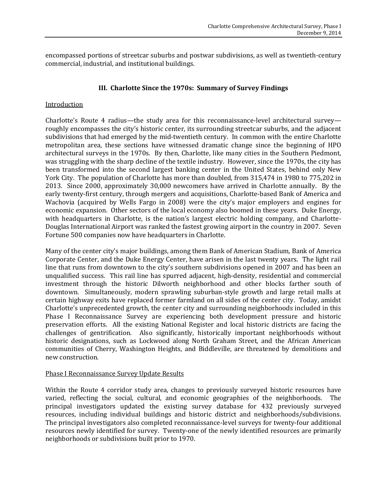encompassed portions of streetcar suburbs and postwar subdivisions, as well as twentieth-century commercial, industrial, and institutional buildings.

## **III. Charlotte Since the 1970s: Summary of Survey Findings**

#### **Introduction**

Charlotte's Route 4 radius—the study area for this reconnaissance-level architectural survey roughly encompasses the city's historic center, its surrounding streetcar suburbs, and the adjacent subdivisions that had emerged by the mid-twentieth century. In common with the entire Charlotte metropolitan area, these sections have witnessed dramatic change since the beginning of HPO architectural surveys in the 1970s. By then, Charlotte, like many cities in the Southern Piedmont, was struggling with the sharp decline of the textile industry. However, since the 1970s, the city has been transformed into the second largest banking center in the United States, behind only New York City. The population of Charlotte has more than doubled, from 315,474 in 1980 to 775,202 in 2013. Since 2000, approximately 30,000 newcomers have arrived in Charlotte annually. By the early twenty-first century, through mergers and acquisitions, Charlotte-based Bank of America and Wachovia (acquired by Wells Fargo in 2008) were the city's major employers and engines for economic expansion. Other sectors of the local economy also boomed in these years. Duke Energy, with headquarters in Charlotte, is the nation's largest electric holding company, and Charlotte-Douglas International Airport was ranked the fastest growing airport in the country in 2007. Seven Fortune 500 companies now have headquarters in Charlotte.

Many of the center city's major buildings, among them Bank of American Stadium, Bank of America Corporate Center, and the Duke Energy Center, have arisen in the last twenty years. The light rail line that runs from downtown to the city's southern subdivisions opened in 2007 and has been an unqualified success. This rail line has spurred adjacent, high-density, residential and commercial investment through the historic Dilworth neighborhood and other blocks farther south of downtown. Simultaneously, modern sprawling suburban-style growth and large retail malls at certain highway exits have replaced former farmland on all sides of the center city. Today, amidst Charlotte's unprecedented growth, the center city and surrounding neighborhoods included in this Phase I Reconnaissance Survey are experiencing both development pressure and historic preservation efforts. All the existing National Register and local historic districts are facing the challenges of gentrification. Also significantly, historically important neighborhoods without historic designations, such as Lockwood along North Graham Street, and the African American communities of Cherry, Washington Heights, and Biddleville, are threatened by demolitions and new construction.

#### Phase I Reconnaissance Survey Update Results

Within the Route 4 corridor study area, changes to previously surveyed historic resources have varied, reflecting the social, cultural, and economic geographies of the neighborhoods. The principal investigators updated the existing survey database for 432 previously surveyed resources, including individual buildings and historic district and neighborhoods/subdivisions. The principal investigators also completed reconnaissance-level surveys for twenty-four additional resources newly identified for survey. Twenty-one of the newly identified resources are primarily neighborhoods or subdivisions built prior to 1970.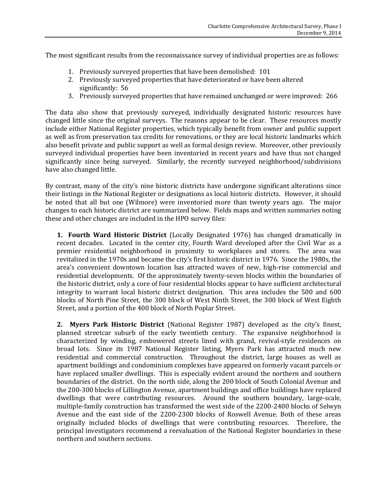The most significant results from the reconnaissance survey of individual properties are as follows:

- 1. Previously surveyed properties that have been demolished: 101
- 2. Previously surveyed properties that have deteriorated or have been altered significantly: 56
- 3. Previously surveyed properties that have remained unchanged or were improved: 266

The data also show that previously surveyed, individually designated historic resources have changed little since the original surveys. The reasons appear to be clear. These resources mostly include either National Register properties, which typically benefit from owner and public support as well as from preservation tax credits for renovations, or they are local historic landmarks which also benefit private and public support as well as formal design review. Moreover, other previously surveyed individual properties have been inventoried in recent years and have thus not changed significantly since being surveyed. Similarly, the recently surveyed neighborhood/subdivisions have also changed little.

By contrast, many of the city's nine historic districts have undergone significant alterations since their listings in the National Register or designations as local historic districts. However, it should be noted that all but one (Wilmore) were inventoried more than twenty years ago. The major changes to each historic district are summarized below. Fields maps and written summaries noting these and other changes are included in the HPO survey files:

**1. Fourth Ward Historic District** (Locally Designated 1976) has changed dramatically in recent decades. Located in the center city, Fourth Ward developed after the Civil War as a premier residential neighborhood in proximity to workplaces and stores. The area was revitalized in the 1970s and became the city's first historic district in 1976. Since the 1980s, the area's convenient downtown location has attracted waves of new, high-rise commercial and residential developments. Of the approximately twenty-seven blocks within the boundaries of the historic district, only a core of four residential blocks appear to have sufficient architectural integrity to warrant local historic district designation. This area includes the 500 and 600 blocks of North Pine Street, the 300 block of West Ninth Street, the 300 block of West Eighth Street, and a portion of the 400 block of North Poplar Street.

**2. Myers Park Historic District** (National Register 1987) developed as the city's finest, planned streetcar suburb of the early twentieth century. The expansive neighborhood is characterized by winding, embowered streets lined with grand, revival-style residences on broad lots. Since its 1987 National Register listing, Myers Park has attracted much new residential and commercial construction. Throughout the district, large houses as well as apartment buildings and condominium complexes have appeared on formerly vacant parcels or have replaced smaller dwellings. This is especially evident around the northern and southern boundaries of the district. On the north side, along the 200 block of South Colonial Avenue and the 200-300 blocks of Lillington Avenue, apartment buildings and office buildings have replaced dwellings that were contributing resources. Around the southern boundary, large-scale, multiple-family construction has transformed the west side of the 2200-2400 blocks of Selwyn Avenue and the east side of the 2200-2300 blocks of Roswell Avenue. Both of these areas originally included blocks of dwellings that were contributing resources. Therefore, the principal investigators recommend a reevaluation of the National Register boundaries in these northern and southern sections.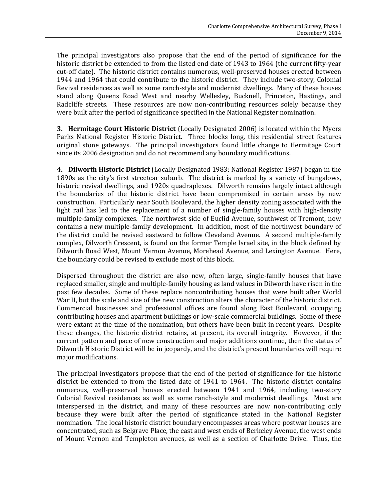The principal investigators also propose that the end of the period of significance for the historic district be extended to from the listed end date of 1943 to 1964 (the current fifty-year cut-off date). The historic district contains numerous, well-preserved houses erected between 1944 and 1964 that could contribute to the historic district. They include two-story, Colonial Revival residences as well as some ranch-style and modernist dwellings. Many of these houses stand along Queens Road West and nearby Wellesley, Bucknell, Princeton, Hastings, and Radcliffe streets. These resources are now non-contributing resources solely because they were built after the period of significance specified in the National Register nomination.

**3. Hermitage Court Historic District** (Locally Designated 2006) is located within the Myers Parks National Register Historic District. Three blocks long, this residential street features original stone gateways. The principal investigators found little change to Hermitage Court since its 2006 designation and do not recommend any boundary modifications.

**4. Dilworth Historic District** (Locally Designated 1983; National Register 1987) began in the 1890s as the city's first streetcar suburb. The district is marked by a variety of bungalows, historic revival dwellings, and 1920s quadraplexes. Dilworth remains largely intact although the boundaries of the historic district have been compromised in certain areas by new construction. Particularly near South Boulevard, the higher density zoning associated with the light rail has led to the replacement of a number of single-family houses with high-density multiple-family complexes. The northwest side of Euclid Avenue, southwest of Tremont, now contains a new multiple-family development. In addition, most of the northwest boundary of the district could be revised eastward to follow Cleveland Avenue. A second multiple-family complex, Dilworth Crescent, is found on the former Temple Israel site, in the block defined by Dilworth Road West, Mount Vernon Avenue, Morehead Avenue, and Lexington Avenue. Here, the boundary could be revised to exclude most of this block.

Dispersed throughout the district are also new, often large, single-family houses that have replaced smaller, single and multiple-family housing as land values in Dilworth have risen in the past few decades. Some of these replace noncontributing houses that were built after World War II, but the scale and size of the new construction alters the character of the historic district. Commercial businesses and professional offices are found along East Boulevard, occupying contributing houses and apartment buildings or low-scale commercial buildings. Some of these were extant at the time of the nomination, but others have been built in recent years. Despite these changes, the historic district retains, at present, its overall integrity. However, if the current pattern and pace of new construction and major additions continue, then the status of Dilworth Historic District will be in jeopardy, and the district's present boundaries will require major modifications.

The principal investigators propose that the end of the period of significance for the historic district be extended to from the listed date of 1941 to 1964. The historic district contains numerous, well-preserved houses erected between 1941 and 1964, including two-story Colonial Revival residences as well as some ranch-style and modernist dwellings. Most are interspersed in the district, and many of these resources are now non-contributing only because they were built after the period of significance stated in the National Register nomination. The local historic district boundary encompasses areas where postwar houses are concentrated, such as Belgrave Place, the east and west ends of Berkeley Avenue, the west ends of Mount Vernon and Templeton avenues, as well as a section of Charlotte Drive. Thus, the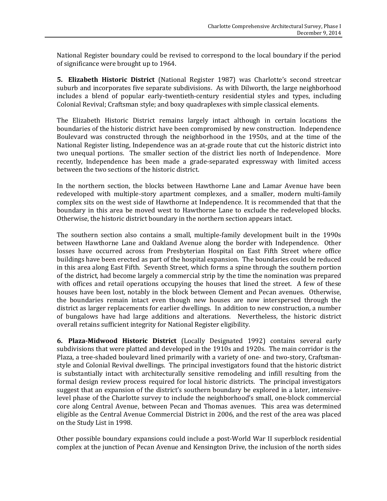National Register boundary could be revised to correspond to the local boundary if the period of significance were brought up to 1964.

**5. Elizabeth Historic District** (National Register 1987) was Charlotte's second streetcar suburb and incorporates five separate subdivisions. As with Dilworth, the large neighborhood includes a blend of popular early-twentieth-century residential styles and types, including Colonial Revival; Craftsman style; and boxy quadraplexes with simple classical elements.

The Elizabeth Historic District remains largely intact although in certain locations the boundaries of the historic district have been compromised by new construction. Independence Boulevard was constructed through the neighborhood in the 1950s, and at the time of the National Register listing, Independence was an at-grade route that cut the historic district into two unequal portions. The smaller section of the district lies north of Independence. More recently, Independence has been made a grade-separated expressway with limited access between the two sections of the historic district.

In the northern section, the blocks between Hawthorne Lane and Lamar Avenue have been redeveloped with multiple-story apartment complexes, and a smaller, modern multi-family complex sits on the west side of Hawthorne at Independence. It is recommended that that the boundary in this area be moved west to Hawthorne Lane to exclude the redeveloped blocks. Otherwise, the historic district boundary in the northern section appears intact.

The southern section also contains a small, multiple-family development built in the 1990s between Hawthorne Lane and Oakland Avenue along the border with Independence. Other losses have occurred across from Presbyterian Hospital on East Fifth Street where office buildings have been erected as part of the hospital expansion. The boundaries could be reduced in this area along East Fifth. Seventh Street, which forms a spine through the southern portion of the district, had become largely a commercial strip by the time the nomination was prepared with offices and retail operations occupying the houses that lined the street. A few of these houses have been lost, notably in the block between Clement and Pecan avenues. Otherwise, the boundaries remain intact even though new houses are now interspersed through the district as larger replacements for earlier dwellings. In addition to new construction, a number of bungalows have had large additions and alterations. Nevertheless, the historic district overall retains sufficient integrity for National Register eligibility.

**6. Plaza-Midwood Historic District** (Locally Designated 1992) contains several early subdivisions that were platted and developed in the 1910s and 1920s. The main corridor is the Plaza, a tree-shaded boulevard lined primarily with a variety of one- and two-story, Craftsmanstyle and Colonial Revival dwellings. The principal investigators found that the historic district is substantially intact with architecturally sensitive remodeling and infill resulting from the formal design review process required for local historic districts. The principal investigators suggest that an expansion of the district's southern boundary be explored in a later, intensivelevel phase of the Charlotte survey to include the neighborhood's small, one-block commercial core along Central Avenue, between Pecan and Thomas avenues. This area was determined eligible as the Central Avenue Commercial District in 2006, and the rest of the area was placed on the Study List in 1998.

Other possible boundary expansions could include a post-World War II superblock residential complex at the junction of Pecan Avenue and Kensington Drive, the inclusion of the north sides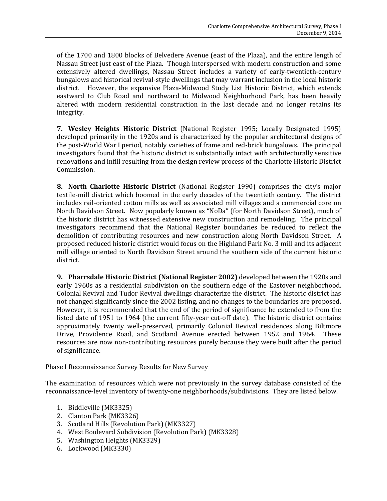of the 1700 and 1800 blocks of Belvedere Avenue (east of the Plaza), and the entire length of Nassau Street just east of the Plaza. Though interspersed with modern construction and some extensively altered dwellings, Nassau Street includes a variety of early-twentieth-century bungalows and historical revival-style dwellings that may warrant inclusion in the local historic district. However, the expansive Plaza-Midwood Study List Historic District, which extends eastward to Club Road and northward to Midwood Neighborhood Park, has been heavily altered with modern residential construction in the last decade and no longer retains its integrity.

**7. Wesley Heights Historic District** (National Register 1995; Locally Designated 1995) developed primarily in the 1920s and is characterized by the popular architectural designs of the post-World War I period, notably varieties of frame and red-brick bungalows. The principal investigators found that the historic district is substantially intact with architecturally sensitive renovations and infill resulting from the design review process of the Charlotte Historic District Commission.

**8. North Charlotte Historic District** (National Register 1990) comprises the city's major textile-mill district which boomed in the early decades of the twentieth century. The district includes rail-oriented cotton mills as well as associated mill villages and a commercial core on North Davidson Street. Now popularly known as "NoDa" (for North Davidson Street), much of the historic district has witnessed extensive new construction and remodeling. The principal investigators recommend that the National Register boundaries be reduced to reflect the demolition of contributing resources and new construction along North Davidson Street. A proposed reduced historic district would focus on the Highland Park No. 3 mill and its adjacent mill village oriented to North Davidson Street around the southern side of the current historic district.

**9. Pharrsdale Historic District (National Register 2002)** developed between the 1920s and early 1960s as a residential subdivision on the southern edge of the Eastover neighborhood. Colonial Revival and Tudor Revival dwellings characterize the district. The historic district has not changed significantly since the 2002 listing, and no changes to the boundaries are proposed. However, it is recommended that the end of the period of significance be extended to from the listed date of 1951 to 1964 (the current fifty-year cut-off date). The historic district contains approximately twenty well-preserved, primarily Colonial Revival residences along Biltmore Drive, Providence Road, and Scotland Avenue erected between 1952 and 1964. These resources are now non-contributing resources purely because they were built after the period of significance.

## Phase I Reconnaissance Survey Results for New Survey

The examination of resources which were not previously in the survey database consisted of the reconnaissance-level inventory of twenty-one neighborhoods/subdivisions. They are listed below.

- 1. Biddleville (MK3325)
- 2. Clanton Park (MK3326)
- 3. Scotland Hills (Revolution Park) (MK3327)
- 4. West Boulevard Subdivision (Revolution Park) (MK3328)
- 5. Washington Heights (MK3329)
- 6. Lockwood (MK3330)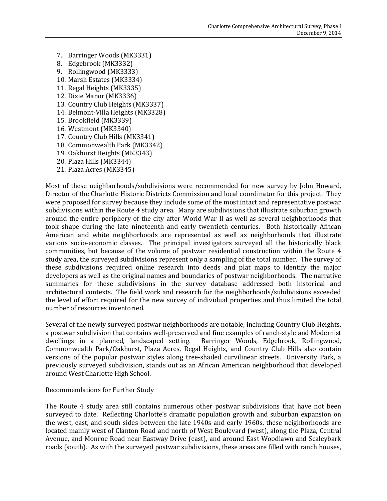- 7. Barringer Woods (MK3331)
- 8. Edgebrook (MK3332)
- 9. Rollingwood (MK3333)
- 10. Marsh Estates (MK3334)
- 11. Regal Heights (MK3335)
- 12. Dixie Manor (MK3336)
- 13. Country Club Heights (MK3337)
- 14. Belmont-Villa Heights (MK3328)
- 15. Brookfield (MK3339)
- 16. Westmont (MK3340)
- 17. Country Club Hills (MK3341)
- 18. Commonwealth Park (MK3342)
- 19. Oakhurst Heights (MK3343)
- 20. Plaza Hills (MK3344)
- 21. Plaza Acres (MK3345)

Most of these neighborhoods/subdivisions were recommended for new survey by John Howard, Director of the Charlotte Historic Districts Commission and local coordinator for this project. They were proposed for survey because they include some of the most intact and representative postwar subdivisions within the Route 4 study area. Many are subdivisions that illustrate suburban growth around the entire periphery of the city after World War II as well as several neighborhoods that took shape during the late nineteenth and early twentieth centuries. Both historically African American and white neighborhoods are represented as well as neighborhoods that illustrate various socio-economic classes. The principal investigators surveyed all the historically black communities, but because of the volume of postwar residential construction within the Route 4 study area, the surveyed subdivisions represent only a sampling of the total number. The survey of these subdivisions required online research into deeds and plat maps to identify the major developers as well as the original names and boundaries of postwar neighborhoods. The narrative summaries for these subdivisions in the survey database addressed both historical and architectural contexts. The field work and research for the neighborhoods/subdivisions exceeded the level of effort required for the new survey of individual properties and thus limited the total number of resources inventoried.

Several of the newly surveyed postwar neighborhoods are notable, including Country Club Heights, a postwar subdivision that contains well-preserved and fine examples of ranch-style and Modernist dwellings in a planned, landscaped setting. Barringer Woods, Edgebrook, Rollingwood, Commonwealth Park/Oakhurst, Plaza Acres, Regal Heights, and Country Club Hills also contain versions of the popular postwar styles along tree-shaded curvilinear streets. University Park, a previously surveyed subdivision, stands out as an African American neighborhood that developed around West Charlotte High School.

#### Recommendations for Further Study

The Route 4 study area still contains numerous other postwar subdivisions that have not been surveyed to date. Reflecting Charlotte's dramatic population growth and suburban expansion on the west, east, and south sides between the late 1940s and early 1960s, these neighborhoods are located mainly west of Clanton Road and north of West Boulevard (west), along the Plaza, Central Avenue, and Monroe Road near Eastway Drive (east), and around East Woodlawn and Scaleybark roads (south). As with the surveyed postwar subdivisions, these areas are filled with ranch houses,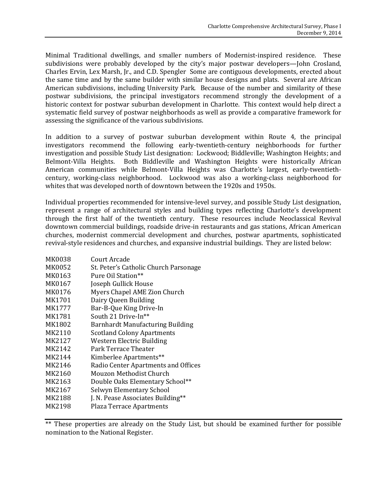Minimal Traditional dwellings, and smaller numbers of Modernist-inspired residence. These subdivisions were probably developed by the city's major postwar developers—John Crosland, Charles Ervin, Lex Marsh, Jr., and C.D. Spengler Some are contiguous developments, erected about the same time and by the same builder with similar house designs and plats. Several are African American subdivisions, including University Park. Because of the number and similarity of these postwar subdivisions, the principal investigators recommend strongly the development of a historic context for postwar suburban development in Charlotte. This context would help direct a systematic field survey of postwar neighborhoods as well as provide a comparative framework for assessing the significance of the various subdivisions.

In addition to a survey of postwar suburban development within Route 4, the principal investigators recommend the following early-twentieth-century neighborhoods for further investigation and possible Study List designation: Lockwood; Biddleville; Washington Heights; and Belmont-Villa Heights. Both Biddleville and Washington Heights were historically African American communities while Belmont-Villa Heights was Charlotte's largest, early-twentiethcentury, working-class neighborhood. Lockwood was also a working-class neighborhood for whites that was developed north of downtown between the 1920s and 1950s.

Individual properties recommended for intensive-level survey, and possible Study List designation, represent a range of architectural styles and building types reflecting Charlotte's development through the first half of the twentieth century. These resources include Neoclassical Revival downtown commercial buildings, roadside drive-in restaurants and gas stations, African American churches, modernist commercial development and churches, postwar apartments, sophisticated revival-style residences and churches, and expansive industrial buildings. They are listed below:

| MK0038 | Court Arcade                          |
|--------|---------------------------------------|
| MK0052 | St. Peter's Catholic Church Parsonage |
| MK0163 | Pure Oil Station**                    |
| MK0167 | Joseph Gullick House                  |
| MK0176 | Myers Chapel AME Zion Church          |
| MK1701 | Dairy Queen Building                  |
| MK1777 | Bar-B-Que King Drive-In               |
| MK1781 | South 21 Drive-In**                   |
| MK1802 | Barnhardt Manufacturing Building      |
| MK2110 | <b>Scotland Colony Apartments</b>     |
| MK2127 | <b>Western Electric Building</b>      |
| MK2142 | Park Terrace Theater                  |
| MK2144 | Kimberlee Apartments**                |
| MK2146 | Radio Center Apartments and Offices   |
| MK2160 | Mouzon Methodist Church               |
| MK2163 | Double Oaks Elementary School**       |
| MK2167 | Selwyn Elementary School              |
| MK2188 | J. N. Pease Associates Building**     |
| MK2198 | <b>Plaza Terrace Apartments</b>       |

\*\* These properties are already on the Study List, but should be examined further for possible nomination to the National Register.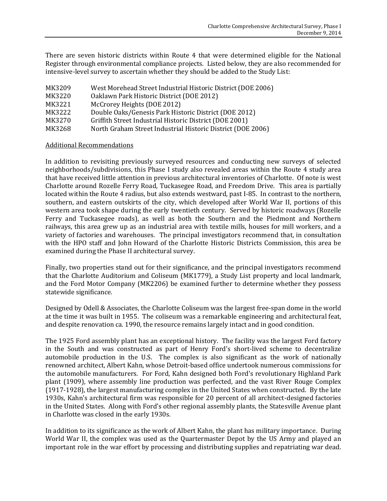There are seven historic districts within Route 4 that were determined eligible for the National Register through environmental compliance projects. Listed below, they are also recommended for intensive-level survey to ascertain whether they should be added to the Study List:

| MK3209 | West Morehead Street Industrial Historic District (DOE 2006) |
|--------|--------------------------------------------------------------|
| MK3220 | Oaklawn Park Historic District (DOE 2012)                    |
| MK3221 | McCrorey Heights (DOE 2012)                                  |
| MK3222 | Double Oaks/Genesis Park Historic District (DOE 2012)        |
| MK3270 | Griffith Street Industrial Historic District (DOE 2001)      |
| MK3268 | North Graham Street Industrial Historic District (DOE 2006)  |

#### Additional Recommendations

In addition to revisiting previously surveyed resources and conducting new surveys of selected neighborhoods/subdivisions, this Phase I study also revealed areas within the Route 4 study area that have received little attention in previous architectural inventories of Charlotte. Of note is west Charlotte around Rozelle Ferry Road, Tuckasegee Road, and Freedom Drive. This area is partially located within the Route 4 radius, but also extends westward, past I-85. In contrast to the northern, southern, and eastern outskirts of the city, which developed after World War II, portions of this western area took shape during the early twentieth century. Served by historic roadways (Rozelle Ferry and Tuckasegee roads), as well as both the Southern and the Piedmont and Northern railways, this area grew up as an industrial area with textile mills, houses for mill workers, and a variety of factories and warehouses. The principal investigators recommend that, in consultation with the HPO staff and John Howard of the Charlotte Historic Districts Commission, this area be examined during the Phase II architectural survey.

Finally, two properties stand out for their significance, and the principal investigators recommend that the Charlotte Auditorium and Coliseum (MK1779), a Study List property and local landmark, and the Ford Motor Company (MK2206) be examined further to determine whether they possess statewide significance.

Designed by Odell & Associates, the Charlotte Coliseum was the largest free-span dome in the world at the time it was built in 1955. The coliseum was a remarkable engineering and architectural feat, and despite renovation ca. 1990, the resource remains largely intact and in good condition.

The 1925 Ford assembly plant has an exceptional history. The facility was the largest Ford factory in the South and was constructed as part of Henry Ford's short-lived scheme to decentralize automobile production in the U.S. The complex is also significant as the work of nationally renowned architect, Albert Kahn, whose Detroit-based office undertook numerous commissions for the automobile manufacturers. For Ford, Kahn designed both Ford's revolutionary Highland Park plant (1909), where assembly line production was perfected, and the vast River Rouge Complex (1917-1928), the largest manufacturing complex in the United States when constructed. By the late 1930s, Kahn's architectural firm was responsible for 20 percent of all architect-designed factories in the United States. Along with Ford's other regional assembly plants, the Statesville Avenue plant in Charlotte was closed in the early 1930s.

In addition to its significance as the work of Albert Kahn, the plant has military importance. During World War II, the complex was used as the Quartermaster Depot by the US Army and played an important role in the war effort by processing and distributing supplies and repatriating war dead.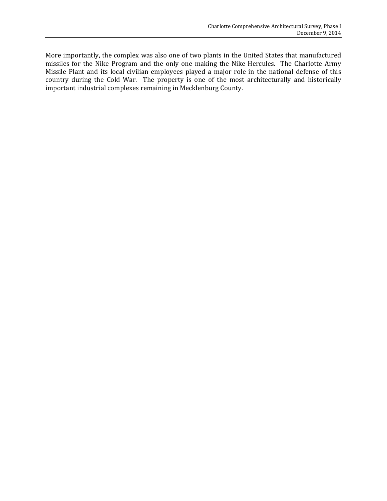More importantly, the complex was also one of two plants in the United States that manufactured missiles for the Nike Program and the only one making the Nike Hercules. The Charlotte Army Missile Plant and its local civilian employees played a major role in the national defense of this country during the Cold War. The property is one of the most architecturally and historically important industrial complexes remaining in Mecklenburg County.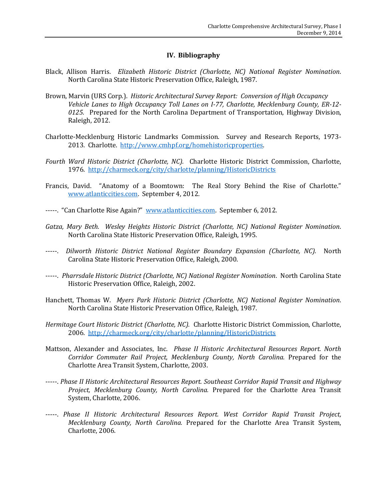## **IV. Bibliography**

- Black, Allison Harris. *Elizabeth Historic District (Charlotte, NC) National Register Nomination*. North Carolina State Historic Preservation Office, Raleigh, 1987.
- Brown, Marvin (URS Corp.). *Historic Architectural Survey Report: Conversion of High Occupancy Vehicle Lanes to High Occupancy Toll Lanes on I-77, Charlotte, Mecklenburg County, ER-12- 0125.* Prepared for the North Carolina Department of Transportation, Highway Division, Raleigh, 2012.
- Charlotte-Mecklenburg Historic Landmarks Commission. Survey and Research Reports, 1973- 2013. Charlotte. [http://www.cmhpf.org/homehistoricproperties.](http://www.cmhpf.org/homehistoricproperties)
- *Fourth Ward Historic District (Charlotte, NC).* Charlotte Historic District Commission, Charlotte, 1976.<http://charmeck.org/city/charlotte/planning/HistoricDistricts>
- Francis, David. "Anatomy of a Boomtown: The Real Story Behind the Rise of Charlotte." [www.atlanticcities.com.](http://www.atlanticcities.com/) September 4, 2012.
- -----. "Can Charlotte Rise Again?" [www.atlanticcities.com.](http://www.atlanticcities.com/) September 6, 2012.
- *Gatza, Mary Beth. Wesley Heights Historic District (Charlotte, NC) National Register Nomination*. North Carolina State Historic Preservation Office, Raleigh, 1995.
- -----. *Dilworth Historic District National Register Boundary Expansion (Charlotte, NC).* North Carolina State Historic Preservation Office, Raleigh, 2000.
- -----. *Pharrsdale Historic District (Charlotte, NC) National Register Nomination*. North Carolina State Historic Preservation Office, Raleigh, 2002.
- Hanchett, Thomas W. *Myers Park Historic District (Charlotte, NC) National Register Nomination*. North Carolina State Historic Preservation Office, Raleigh, 1987.
- *Hermitage Court Historic District (Charlotte, NC).* Charlotte Historic District Commission, Charlotte, 2006.<http://charmeck.org/city/charlotte/planning/HistoricDistricts>
- Mattson, Alexander and Associates, Inc. *Phase II Historic Architectural Resources Report. North Corridor Commuter Rail Project, Mecklenburg County, North Carolina.* Prepared for the Charlotte Area Transit System, Charlotte, 2003.
- -----. *Phase II Historic Architectural Resources Report. Southeast Corridor Rapid Transit and Highway Project, Mecklenburg County, North Carolina.* Prepared for the Charlotte Area Transit System, Charlotte, 2006.
- -----. *Phase II Historic Architectural Resources Report. West Corridor Rapid Transit Project, Mecklenburg County, North Carolina.* Prepared for the Charlotte Area Transit System, Charlotte, 2006.